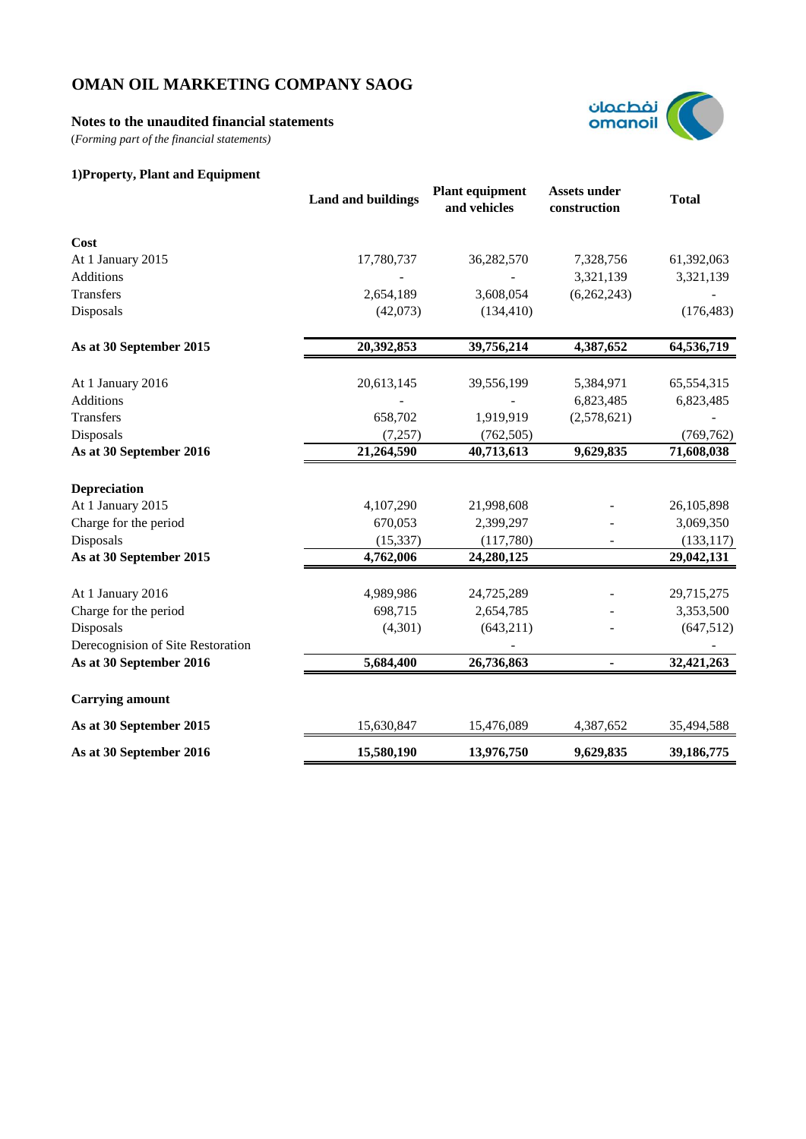## **Notes to the unaudited financial statements**

(*Forming part of the financial statements)*



## **1)Property, Plant and Equipment**

|                                   | <b>Land and buildings</b> | <b>Plant equipment</b><br>and vehicles | <b>Assets under</b><br>construction | <b>Total</b> |
|-----------------------------------|---------------------------|----------------------------------------|-------------------------------------|--------------|
| Cost                              |                           |                                        |                                     |              |
| At 1 January 2015                 | 17,780,737                | 36,282,570                             | 7,328,756                           | 61,392,063   |
| Additions                         |                           |                                        | 3,321,139                           | 3,321,139    |
| Transfers                         | 2,654,189                 | 3,608,054                              | (6,262,243)                         |              |
| Disposals                         | (42,073)                  | (134, 410)                             |                                     | (176, 483)   |
| As at 30 September 2015           | 20,392,853                | 39,756,214                             | 4,387,652                           | 64,536,719   |
| At 1 January 2016                 | 20,613,145                | 39,556,199                             | 5,384,971                           | 65,554,315   |
| Additions                         |                           |                                        | 6,823,485                           | 6,823,485    |
| Transfers                         | 658,702                   | 1,919,919                              | (2,578,621)                         |              |
| Disposals                         | (7, 257)                  | (762, 505)                             |                                     | (769, 762)   |
| As at 30 September 2016           | 21,264,590                | 40,713,613                             | 9,629,835                           | 71,608,038   |
| Depreciation                      |                           |                                        |                                     |              |
| At 1 January 2015                 | 4,107,290                 | 21,998,608                             |                                     | 26,105,898   |
| Charge for the period             | 670,053                   | 2,399,297                              |                                     | 3,069,350    |
| Disposals                         | (15, 337)                 | (117,780)                              |                                     | (133, 117)   |
| As at 30 September 2015           | 4,762,006                 | 24,280,125                             |                                     | 29,042,131   |
| At 1 January 2016                 | 4,989,986                 | 24,725,289                             |                                     | 29,715,275   |
| Charge for the period             | 698,715                   | 2,654,785                              |                                     | 3,353,500    |
| Disposals                         | (4,301)                   | (643,211)                              |                                     | (647,512)    |
| Derecognision of Site Restoration |                           |                                        |                                     |              |
| As at 30 September 2016           | 5,684,400                 | 26,736,863                             |                                     | 32,421,263   |
| <b>Carrying amount</b>            |                           |                                        |                                     |              |
| As at 30 September 2015           | 15,630,847                | 15,476,089                             | 4,387,652                           | 35,494,588   |
| As at 30 September 2016           | 15,580,190                | 13,976,750                             | 9,629,835                           | 39,186,775   |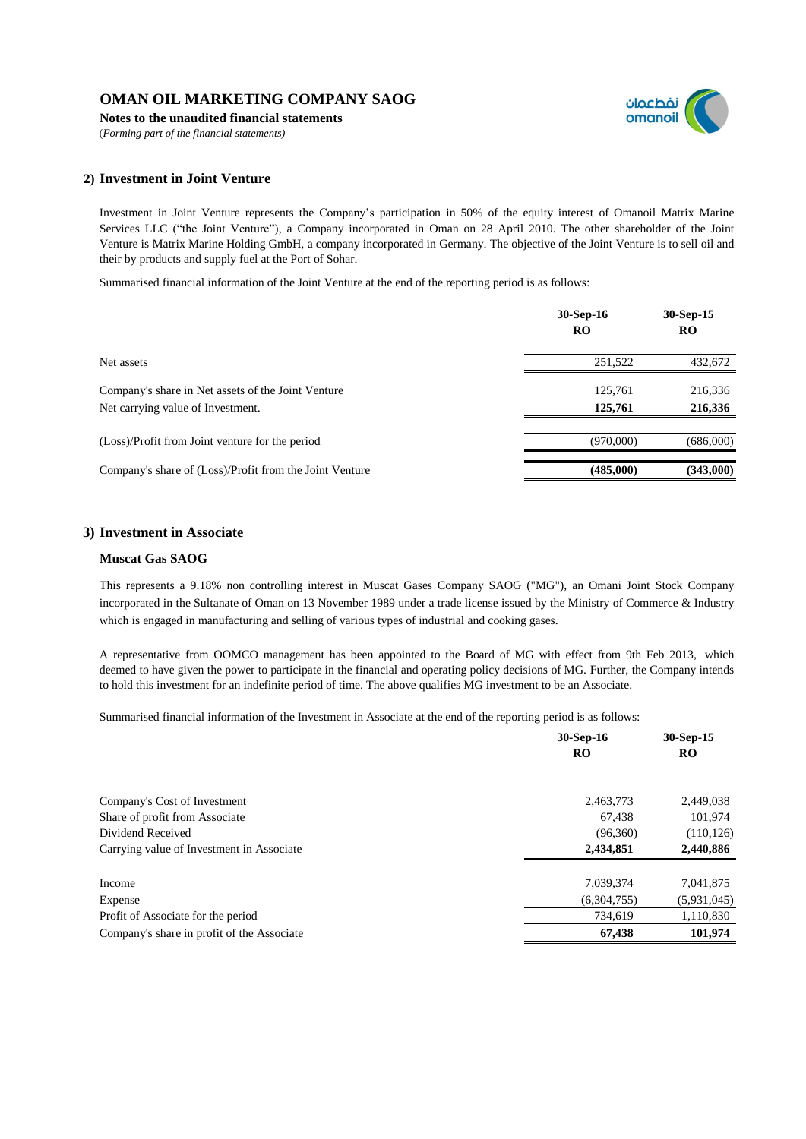**Notes to the unaudited financial statements**

(*Forming part of the financial statements)*



## **2) Investment in Joint Venture**

Investment in Joint Venture represents the Company's participation in 50% of the equity interest of Omanoil Matrix Marine Services LLC ("the Joint Venture"), a Company incorporated in Oman on 28 April 2010. The other shareholder of the Joint Venture is Matrix Marine Holding GmbH, a company incorporated in Germany. The objective of the Joint Venture is to sell oil and their by products and supply fuel at the Port of Sohar.

Summarised financial information of the Joint Venture at the end of the reporting period is as follows:

|                                                                                         | $30-Sep-16$<br>RO  | 30-Sep-15<br>RO    |
|-----------------------------------------------------------------------------------------|--------------------|--------------------|
| Net assets                                                                              | 251,522            | 432,672            |
| Company's share in Net assets of the Joint Venture<br>Net carrying value of Investment. | 125,761<br>125,761 | 216,336<br>216,336 |
| (Loss)/Profit from Joint venture for the period                                         | (970,000)          | (686,000)          |
| Company's share of (Loss)/Profit from the Joint Venture                                 | (485,000)          | (343,000)          |

### **3) Investment in Associate**

#### **Muscat Gas SAOG**

This represents a 9.18% non controlling interest in Muscat Gases Company SAOG ("MG"), an Omani Joint Stock Company incorporated in the Sultanate of Oman on 13 November 1989 under a trade license issued by the Ministry of Commerce & Industry which is engaged in manufacturing and selling of various types of industrial and cooking gases.

A representative from OOMCO management has been appointed to the Board of MG with effect from 9th Feb 2013, which deemed to have given the power to participate in the financial and operating policy decisions of MG. Further, the Company intends to hold this investment for an indefinite period of time. The above qualifies MG investment to be an Associate.

Summarised financial information of the Investment in Associate at the end of the reporting period is as follows:

|                                            | 30-Sep-16<br>RO | 30-Sep-15<br><b>RO</b> |
|--------------------------------------------|-----------------|------------------------|
| Company's Cost of Investment               | 2,463,773       | 2,449,038              |
| Share of profit from Associate             | 67,438          | 101,974                |
| Dividend Received                          | (96,360)        | (110, 126)             |
| Carrying value of Investment in Associate  | 2,434,851       | 2,440,886              |
| Income                                     | 7,039,374       | 7,041,875              |
| Expense                                    | (6,304,755)     | (5,931,045)            |
| Profit of Associate for the period         | 734.619         | 1,110,830              |
| Company's share in profit of the Associate | 67,438          | 101,974                |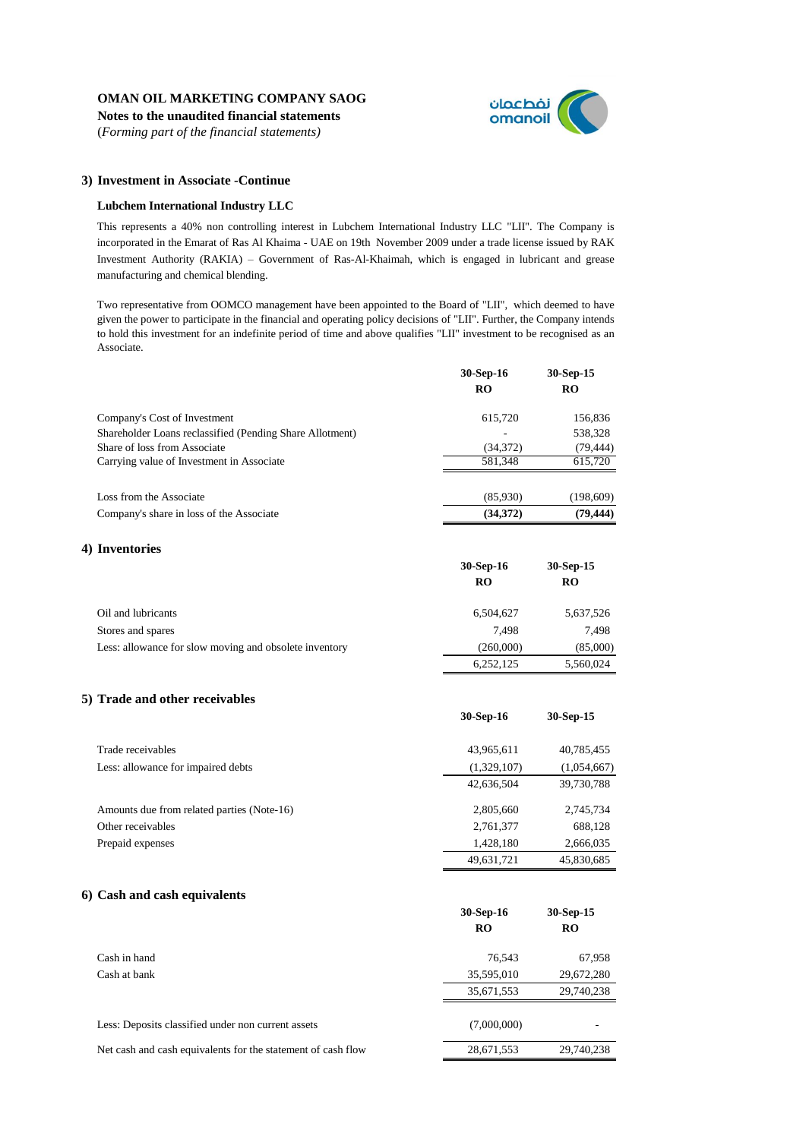**Notes to the unaudited financial statements** (*Forming part of the financial statements)*



#### **3) Investment in Associate -Continue**

#### **Lubchem International Industry LLC**

This represents a 40% non controlling interest in Lubchem International Industry LLC "LII". The Company is incorporated in the Emarat of Ras Al Khaima - UAE on 19th November 2009 under a trade license issued by RAK Investment Authority (RAKIA) – Government of Ras-Al-Khaimah, which is engaged in lubricant and grease manufacturing and chemical blending.

Two representative from OOMCO management have been appointed to the Board of "LII", which deemed to have given the power to participate in the financial and operating policy decisions of "LII". Further, the Company intends to hold this investment for an indefinite period of time and above qualifies "LII" investment to be recognised as an Associate.

|                                                          | 30-Sep-16 | 30-Sep-15 |
|----------------------------------------------------------|-----------|-----------|
|                                                          | RO        | RO        |
| Company's Cost of Investment                             | 615,720   | 156,836   |
| Shareholder Loans reclassified (Pending Share Allotment) |           | 538,328   |
| Share of loss from Associate                             | (34,372)  | (79, 444) |
| Carrying value of Investment in Associate                | 581.348   | 615,720   |
| Loss from the Associate                                  | (85,930)  | (198,609) |
| Company's share in loss of the Associate                 | (34,372)  | (79, 444) |

### **4) Inventories**

|                                                        | $30-Sep-16$<br>RO | 30-Sep-15<br>RO |
|--------------------------------------------------------|-------------------|-----------------|
|                                                        |                   |                 |
| Oil and lubricants                                     | 6,504,627         | 5,637,526       |
| Stores and spares                                      | 7.498             | 7.498           |
| Less: allowance for slow moving and obsolete inventory | (260,000)         | (85,000)        |
|                                                        | 6,252,125         | 5,560,024       |

#### **5) Trade and other receivables**

|                                            | 30-Sep-16   | 30-Sep-15   |
|--------------------------------------------|-------------|-------------|
| Trade receivables                          | 43,965,611  | 40,785,455  |
| Less: allowance for impaired debts         | (1,329,107) | (1,054,667) |
|                                            | 42,636,504  | 39,730,788  |
| Amounts due from related parties (Note-16) | 2,805,660   | 2,745,734   |
| Other receivables                          | 2,761,377   | 688,128     |
| Prepaid expenses                           | 1,428,180   | 2,666,035   |
|                                            | 49,631,721  | 45,830,685  |

#### **6) Cash and cash equivalents**

|                                                              | 30-Sep-16<br>R <sub>O</sub> | 30-Sep-15<br><b>RO</b> |
|--------------------------------------------------------------|-----------------------------|------------------------|
| Cash in hand                                                 | 76,543                      | 67,958                 |
| Cash at bank                                                 | 35,595,010                  | 29,672,280             |
|                                                              | 35,671,553                  | 29,740,238             |
| Less: Deposits classified under non current assets           | (7,000,000)                 |                        |
| Net cash and cash equivalents for the statement of cash flow | 28,671,553                  | 29,740,238             |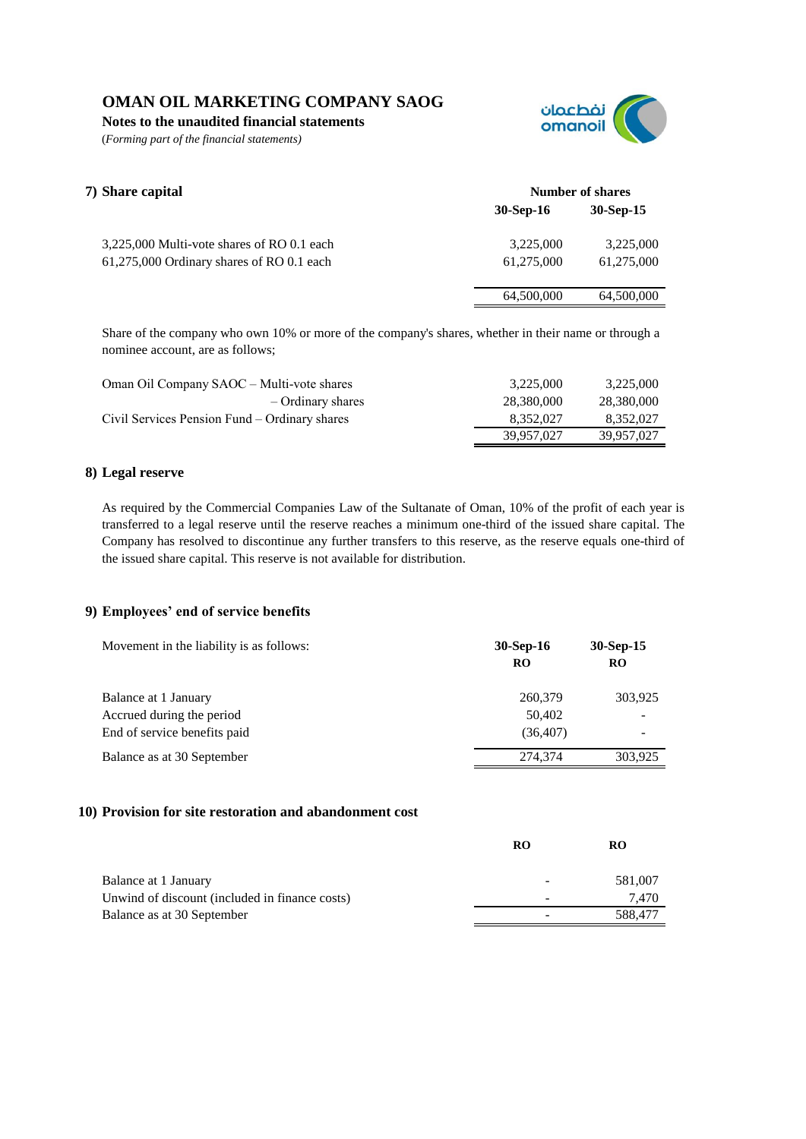**Notes to the unaudited financial statements**

(*Forming part of the financial statements)*



| 7) Share capital                           | Number of shares |             |
|--------------------------------------------|------------------|-------------|
|                                            | $30-Sep-16$      | $30-Sep-15$ |
| 3,225,000 Multi-vote shares of RO 0.1 each | 3,225,000        | 3,225,000   |
| 61,275,000 Ordinary shares of RO 0.1 each  | 61.275.000       | 61,275,000  |
|                                            | 64,500,000       | 64,500,000  |

Share of the company who own 10% or more of the company's shares, whether in their name or through a nominee account, are as follows;

| Oman Oil Company SAOC – Multi-vote shares     | 3.225,000  | 3,225,000  |
|-----------------------------------------------|------------|------------|
| – Ordinary shares                             | 28.380.000 | 28,380,000 |
| Civil Services Pension Fund – Ordinary shares | 8.352.027  | 8.352.027  |
|                                               | 39.957.027 | 39.957.027 |

### **8) Legal reserve**

As required by the Commercial Companies Law of the Sultanate of Oman, 10% of the profit of each year is transferred to a legal reserve until the reserve reaches a minimum one-third of the issued share capital. The Company has resolved to discontinue any further transfers to this reserve, as the reserve equals one-third of the issued share capital. This reserve is not available for distribution.

## **9) Employees' end of service benefits**

| Movement in the liability is as follows: | $30-Sep-16$<br><b>RO</b> | $30-Sep-15$<br><b>RO</b> |
|------------------------------------------|--------------------------|--------------------------|
| Balance at 1 January                     | 260,379                  | 303,925                  |
| Accrued during the period                | 50,402                   |                          |
| End of service benefits paid             | (36, 407)                |                          |
| Balance as at 30 September               | 274,374                  | 303.925                  |

### **10) Provision for site restoration and abandonment cost**

|                                                | <b>RO</b> | RO      |
|------------------------------------------------|-----------|---------|
| Balance at 1 January                           |           | 581,007 |
| Unwind of discount (included in finance costs) |           | 7.470   |
| Balance as at 30 September                     |           | 588.477 |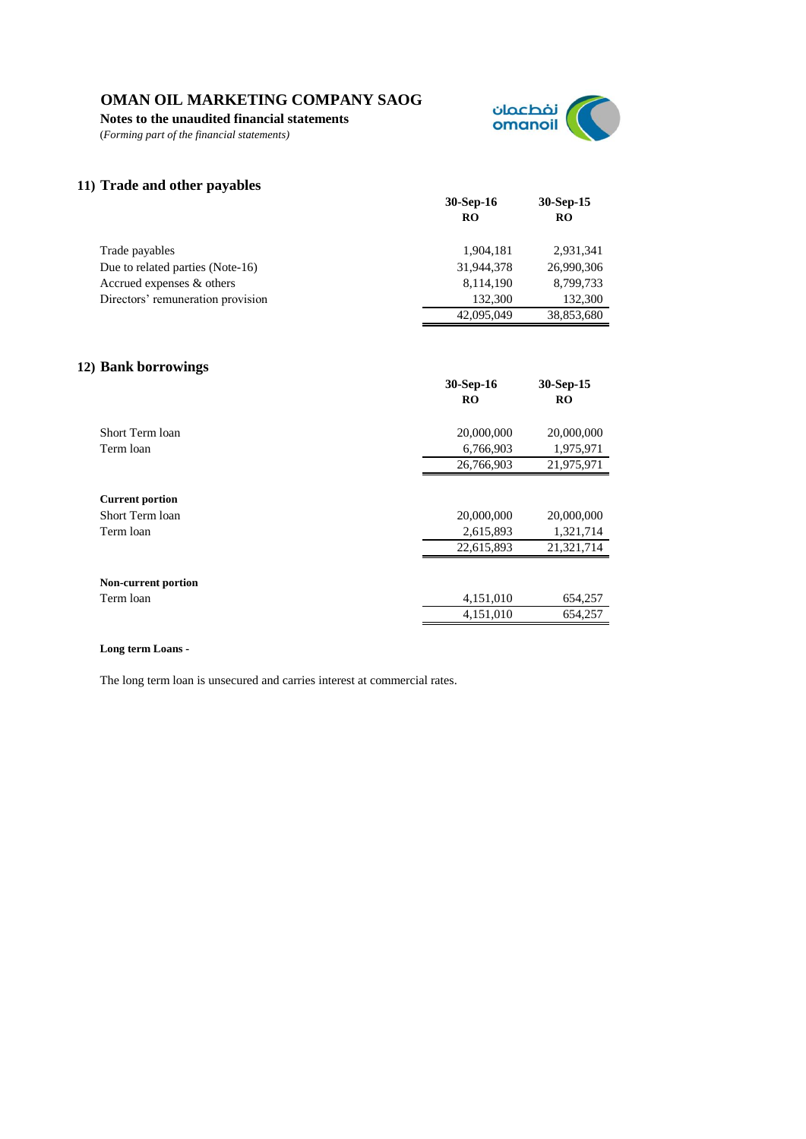**Notes to the unaudited financial statements**

(*Forming part of the financial statements)*



**30-Sep-16 30-Sep-15**

## **11) Trade and other payables**

|                                   | RO         | RO         |
|-----------------------------------|------------|------------|
| Trade payables                    | 1.904.181  | 2.931.341  |
| Due to related parties (Note-16)  | 31,944,378 | 26,990,306 |
| Accrued expenses & others         | 8,114,190  | 8,799,733  |
| Directors' remuneration provision | 132,300    | 132,300    |
|                                   | 42,095,049 | 38,853,680 |

# **12) Bank borrowings**

| o                                                      | 30-Sep-16<br>$_{\rm RO}$              | $30-Sep-15$<br>RO                     |
|--------------------------------------------------------|---------------------------------------|---------------------------------------|
| Short Term loan                                        | 20,000,000                            | 20,000,000                            |
| Term loan                                              | 6,766,903                             | 1,975,971                             |
|                                                        | 26,766,903                            | 21,975,971                            |
| <b>Current portion</b><br>Short Term loan<br>Term loan | 20,000,000<br>2,615,893<br>22,615,893 | 20,000,000<br>1,321,714<br>21,321,714 |
| Non-current portion<br>Term loan                       | 4,151,010                             | 654,257                               |
|                                                        | 4,151,010                             | 654,257                               |

#### **Long term Loans -**

The long term loan is unsecured and carries interest at commercial rates.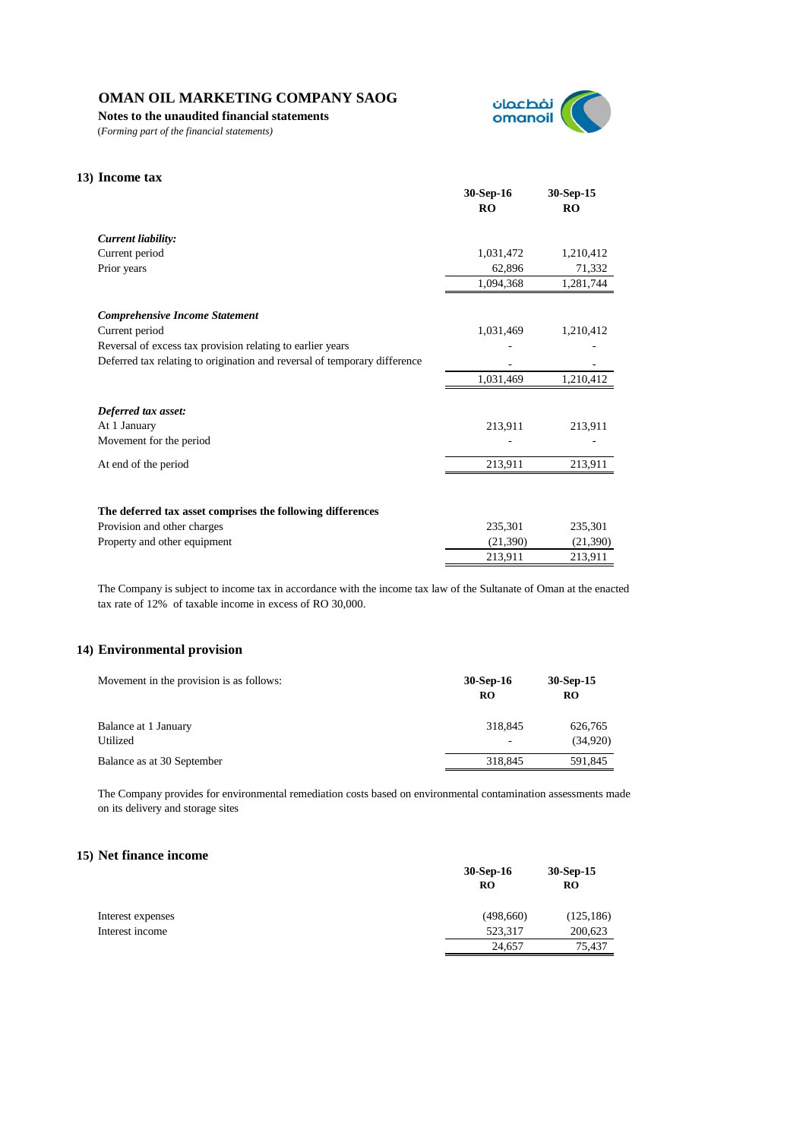**Notes to the unaudited financial statements**

(*Forming part of the financial statements)*



# **13) Income tax 30-Sep-16 30-Sep-15 RO RO** *Current liability:* Current period 1,031,472 1,210,412 Prior years 62,896 71,332 1,094,368 1,281,744 *Comprehensive Income Statement* Current period 1,031,469 1,210,412 Reversal of excess tax provision relating to earlier years Deferred tax relating to origination and reversal of temporary difference 1,031,469 1,210,412 *Deferred tax asset:* At 1 January 213,911 213,911 213,911 Movement for the period - - At end of the period 213,911 213,911 213,911 **The deferred tax asset comprises the following differences** Provision and other charges 235,301 235,301 235,301 235,301 Property and other equipment (21,390) (21,390) (21,390) 213,911 213,911

The Company is subject to income tax in accordance with the income tax law of the Sultanate of Oman at the enacted tax rate of 12% of taxable income in excess of RO 30,000.

### **14) Environmental provision**

| Movement in the provision is as follows: | 30-Sep-16<br>RO | $30-Sep-15$<br>RO |
|------------------------------------------|-----------------|-------------------|
| Balance at 1 January                     | 318,845         | 626,765           |
| Utilized                                 | ٠               | (34,920)          |
| Balance as at 30 September               | 318,845         | 591,845           |

The Company provides for environmental remediation costs based on environmental contamination assessments made on its delivery and storage sites

## **15) Net finance income**

|                   | $30-Sep-16$<br>RO | $30-Sep-15$<br><b>RO</b> |
|-------------------|-------------------|--------------------------|
| Interest expenses | (498,660)         | (125, 186)               |
| Interest income   | 523,317           | 200,623                  |
|                   | 24,657            | 75,437                   |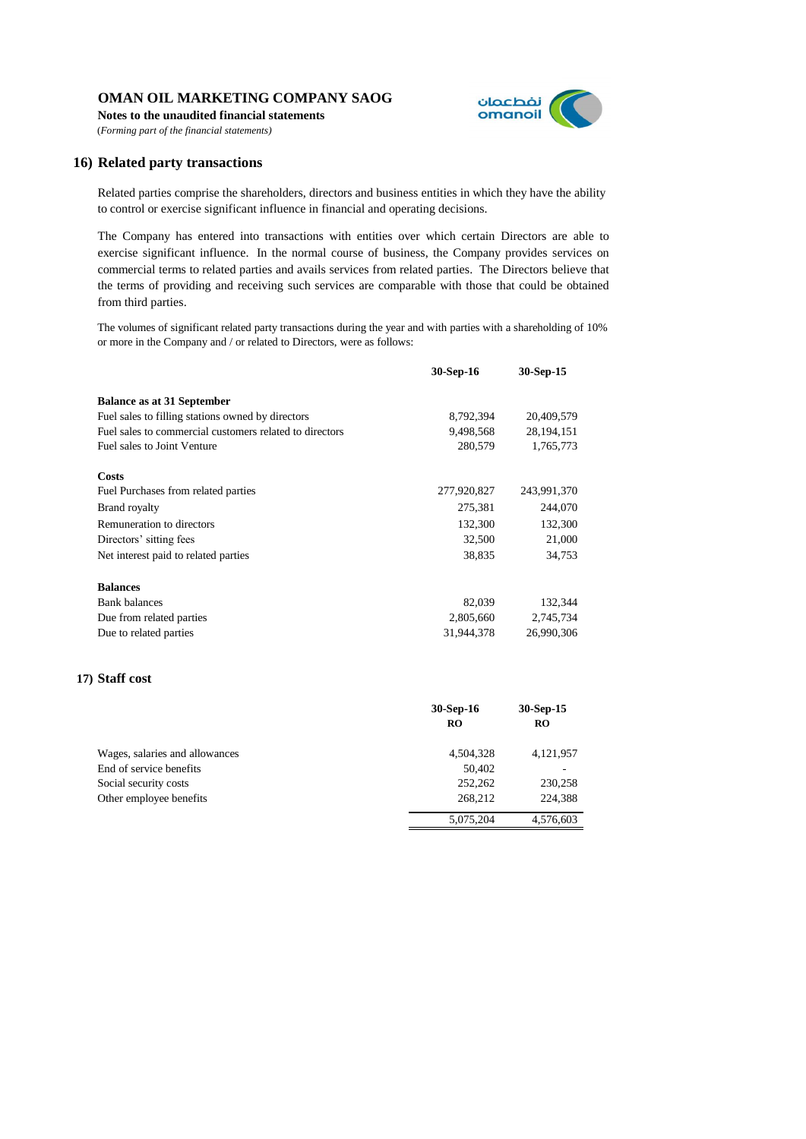**Notes to the unaudited financial statements** (*Forming part of the financial statements)*



### **16) Related party transactions**

Related parties comprise the shareholders, directors and business entities in which they have the ability to control or exercise significant influence in financial and operating decisions.

The Company has entered into transactions with entities over which certain Directors are able to exercise significant influence. In the normal course of business, the Company provides services on commercial terms to related parties and avails services from related parties. The Directors believe that the terms of providing and receiving such services are comparable with those that could be obtained from third parties.

The volumes of significant related party transactions during the year and with parties with a shareholding of 10% or more in the Company and / or related to Directors, were as follows:

|                                                         | 30-Sep-16   | 30-Sep-15   |
|---------------------------------------------------------|-------------|-------------|
| <b>Balance as at 31 September</b>                       |             |             |
| Fuel sales to filling stations owned by directors       | 8,792,394   | 20,409,579  |
| Fuel sales to commercial customers related to directors | 9,498,568   | 28,194,151  |
| Fuel sales to Joint Venture                             | 280,579     | 1,765,773   |
| Costs                                                   |             |             |
| Fuel Purchases from related parties                     | 277,920,827 | 243,991,370 |
| <b>Brand royalty</b>                                    | 275,381     | 244,070     |
| Remuneration to directors                               | 132,300     | 132,300     |
| Directors' sitting fees                                 | 32,500      | 21,000      |
| Net interest paid to related parties                    | 38,835      | 34,753      |
| <b>Balances</b>                                         |             |             |
| <b>Bank</b> balances                                    | 82,039      | 132,344     |
| Due from related parties                                | 2,805,660   | 2,745,734   |
| Due to related parties                                  | 31,944,378  | 26,990,306  |

### **17) Staff cost**

|                                | 30-Sep-16 | 30-Sep-15 |
|--------------------------------|-----------|-----------|
|                                | RO        | <b>RO</b> |
| Wages, salaries and allowances | 4,504,328 | 4,121,957 |
| End of service benefits        | 50,402    |           |
| Social security costs          | 252,262   | 230,258   |
| Other employee benefits        | 268,212   | 224,388   |
|                                | 5,075,204 | 4.576.603 |